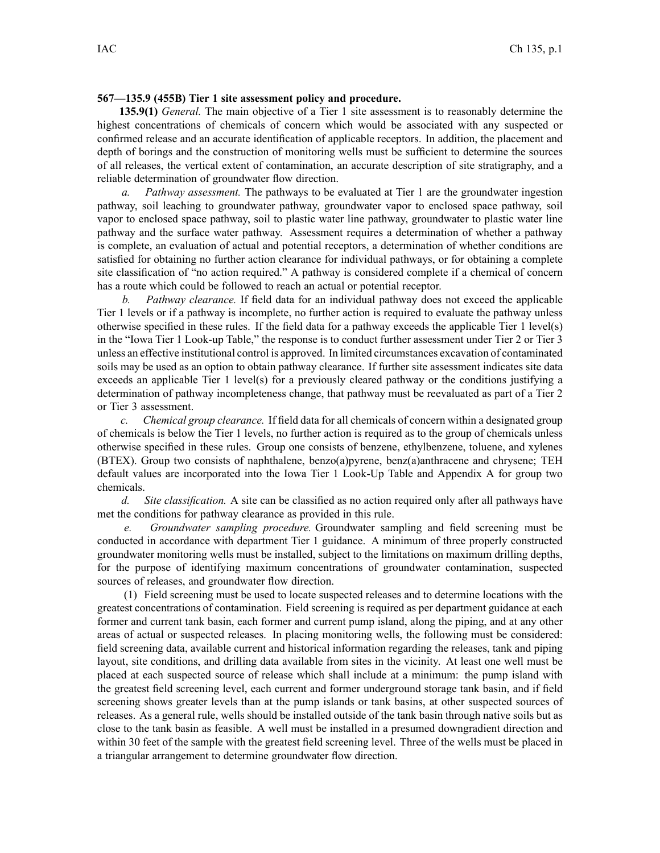## **567—135.9 (455B) Tier 1 site assessment policy and procedure.**

**135.9(1)** *General.* The main objective of <sup>a</sup> Tier 1 site assessment is to reasonably determine the highest concentrations of chemicals of concern which would be associated with any suspected or confirmed release and an accurate identification of applicable receptors. In addition, the placement and depth of borings and the construction of monitoring wells must be sufficient to determine the sources of all releases, the vertical extent of contamination, an accurate description of site stratigraphy, and <sup>a</sup> reliable determination of groundwater flow direction.

*a. Pathway assessment.* The pathways to be evaluated at Tier 1 are the groundwater ingestion pathway, soil leaching to groundwater pathway, groundwater vapor to enclosed space pathway, soil vapor to enclosed space pathway, soil to plastic water line pathway, groundwater to plastic water line pathway and the surface water pathway. Assessment requires <sup>a</sup> determination of whether <sup>a</sup> pathway is complete, an evaluation of actual and potential receptors, <sup>a</sup> determination of whether conditions are satisfied for obtaining no further action clearance for individual pathways, or for obtaining <sup>a</sup> complete site classification of "no action required." A pathway is considered complete if <sup>a</sup> chemical of concern has <sup>a</sup> route which could be followed to reach an actual or potential receptor.

*b. Pathway clearance.* If field data for an individual pathway does not exceed the applicable Tier 1 levels or if <sup>a</sup> pathway is incomplete, no further action is required to evaluate the pathway unless otherwise specified in these rules. If the field data for <sup>a</sup> pathway exceeds the applicable Tier 1 level(s) in the "Iowa Tier 1 Look-up Table," the response is to conduct further assessment under Tier 2 or Tier 3 unless an effective institutional control is approved. In limited circumstances excavation of contaminated soils may be used as an option to obtain pathway clearance. If further site assessment indicates site data exceeds an applicable Tier 1 level(s) for <sup>a</sup> previously cleared pathway or the conditions justifying <sup>a</sup> determination of pathway incompleteness change, that pathway must be reevaluated as par<sup>t</sup> of <sup>a</sup> Tier 2 or Tier 3 assessment.

*c. Chemical group clearance.* If field data for all chemicals of concern within <sup>a</sup> designated group of chemicals is below the Tier 1 levels, no further action is required as to the group of chemicals unless otherwise specified in these rules. Group one consists of benzene, ethylbenzene, toluene, and xylenes (BTEX). Group two consists of naphthalene, benzo(a)pyrene, benz(a)anthracene and chrysene; TEH default values are incorporated into the Iowa Tier 1 Look-Up Table and Appendix A for group two chemicals.

*d. Site classification.* A site can be classified as no action required only after all pathways have met the conditions for pathway clearance as provided in this rule.

*e. Groundwater sampling procedure.* Groundwater sampling and field screening must be conducted in accordance with department Tier 1 guidance. A minimum of three properly constructed groundwater monitoring wells must be installed, subject to the limitations on maximum drilling depths, for the purpose of identifying maximum concentrations of groundwater contamination, suspected sources of releases, and groundwater flow direction.

(1) Field screening must be used to locate suspected releases and to determine locations with the greatest concentrations of contamination. Field screening is required as per department guidance at each former and current tank basin, each former and current pump island, along the piping, and at any other areas of actual or suspected releases. In placing monitoring wells, the following must be considered: field screening data, available current and historical information regarding the releases, tank and piping layout, site conditions, and drilling data available from sites in the vicinity. At least one well must be placed at each suspected source of release which shall include at <sup>a</sup> minimum: the pump island with the greatest field screening level, each current and former underground storage tank basin, and if field screening shows greater levels than at the pump islands or tank basins, at other suspected sources of releases. As <sup>a</sup> general rule, wells should be installed outside of the tank basin through native soils but as close to the tank basin as feasible. A well must be installed in <sup>a</sup> presumed downgradient direction and within 30 feet of the sample with the greatest field screening level. Three of the wells must be placed in <sup>a</sup> triangular arrangemen<sup>t</sup> to determine groundwater flow direction.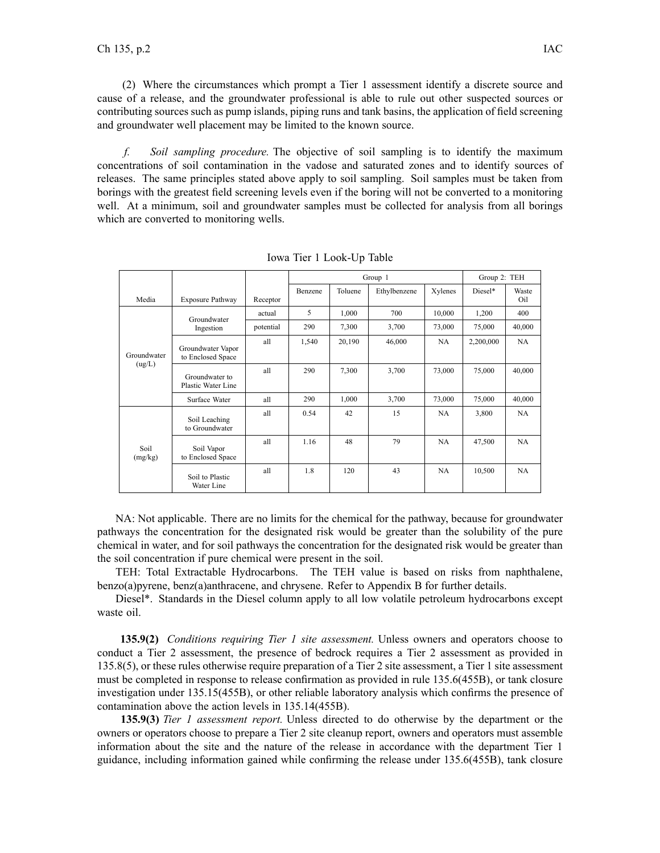(2) Where the circumstances which promp<sup>t</sup> <sup>a</sup> Tier 1 assessment identify <sup>a</sup> discrete source and cause of <sup>a</sup> release, and the groundwater professional is able to rule out other suspected sources or contributing sources such as pump islands, piping runs and tank basins, the application of field screening and groundwater well placement may be limited to the known source.

*f. Soil sampling procedure.* The objective of soil sampling is to identify the maximum concentrations of soil contamination in the vadose and saturated zones and to identify sources of releases. The same principles stated above apply to soil sampling. Soil samples must be taken from borings with the greatest field screening levels even if the boring will not be converted to <sup>a</sup> monitoring well. At <sup>a</sup> minimum, soil and groundwater samples must be collected for analysis from all borings which are converted to monitoring wells.

|                       |                                        |           | Group 1 |         |              |         | Group 2: TEH |              |
|-----------------------|----------------------------------------|-----------|---------|---------|--------------|---------|--------------|--------------|
| Media                 | Exposure Pathway                       | Receptor  | Benzene | Toluene | Ethylbenzene | Xylenes | Diesel*      | Waste<br>Oil |
| Groundwater<br>(ug/L) | Groundwater<br>Ingestion               | actual    | 5       | 1,000   | 700          | 10,000  | 1,200        | 400          |
|                       |                                        | potential | 290     | 7,300   | 3,700        | 73,000  | 75,000       | 40,000       |
|                       | Groundwater Vapor<br>to Enclosed Space | all       | 1,540   | 20,190  | 46,000       | NA      | 2,200,000    | NA           |
|                       | Groundwater to<br>Plastic Water Line   | all       | 290     | 7,300   | 3,700        | 73,000  | 75,000       | 40,000       |
|                       | Surface Water                          | all       | 290     | 1,000   | 3,700        | 73,000  | 75,000       | 40,000       |
| Soil<br>(mg/kg)       | Soil Leaching<br>to Groundwater        | all       | 0.54    | 42      | 15           | NA      | 3,800        | NA           |
|                       | Soil Vapor<br>to Enclosed Space        | all       | 1.16    | 48      | 79           | NA      | 47,500       | NA           |
|                       | Soil to Plastic<br>Water Line          | all       | 1.8     | 120     | 43           | NA.     | 10,500       | NA.          |

Iowa Tier 1 Look-Up Table

NA: Not applicable. There are no limits for the chemical for the pathway, because for groundwater pathways the concentration for the designated risk would be greater than the solubility of the pure chemical in water, and for soil pathways the concentration for the designated risk would be greater than the soil concentration if pure chemical were presen<sup>t</sup> in the soil.

TEH: Total Extractable Hydrocarbons. The TEH value is based on risks from naphthalene, benzo(a)pyrene, benz(a)anthracene, and chrysene. Refer to Appendix B for further details.

Diesel\*. Standards in the Diesel column apply to all low volatile petroleum hydrocarbons excep<sup>t</sup> waste oil.

**135.9(2)** *Conditions requiring Tier 1 site assessment.* Unless owners and operators choose to conduct <sup>a</sup> Tier 2 assessment, the presence of bedrock requires <sup>a</sup> Tier 2 assessment as provided in 135.8(5), or these rules otherwise require preparation of <sup>a</sup> Tier 2 site assessment, <sup>a</sup> Tier 1 site assessment must be completed in response to release confirmation as provided in rule 135.6(455B), or tank closure investigation under 135.15(455B), or other reliable laboratory analysis which confirms the presence of contamination above the action levels in 135.14(455B).

**135.9(3)** *Tier 1 assessment report.* Unless directed to do otherwise by the department or the owners or operators choose to prepare <sup>a</sup> Tier 2 site cleanup report, owners and operators must assemble information about the site and the nature of the release in accordance with the department Tier 1 guidance, including information gained while confirming the release under 135.6(455B), tank closure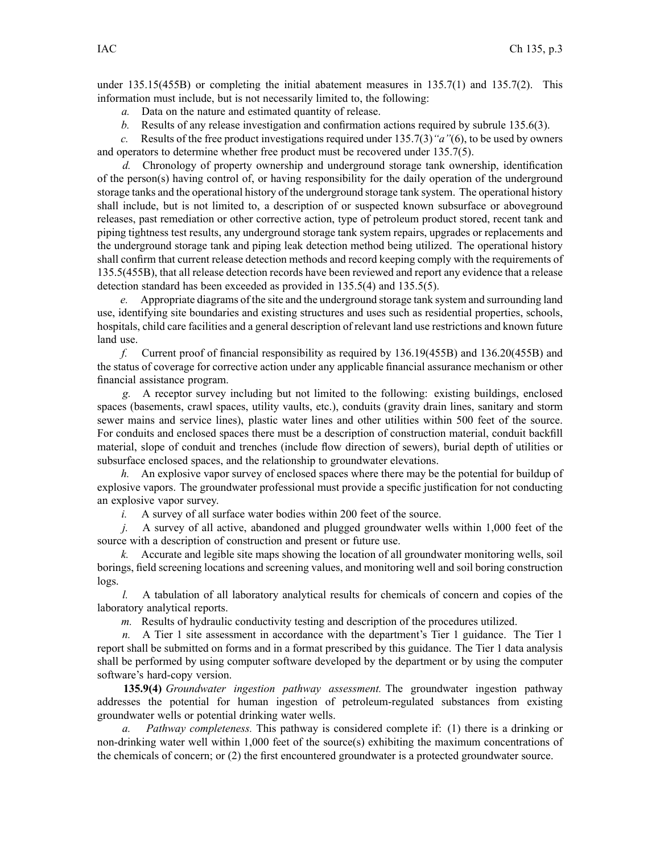under 135.15(455B) or completing the initial abatement measures in 135.7(1) and 135.7(2). This information must include, but is not necessarily limited to, the following:

- *a.* Data on the nature and estimated quantity of release.
- *b.* Results of any release investigation and confirmation actions required by subrule 135.6(3).

*c.* Results of the free product investigations required under 135.7(3)*"a"*(6), to be used by owners and operators to determine whether free product must be recovered under 135.7(5).

*d.* Chronology of property ownership and underground storage tank ownership, identification of the person(s) having control of, or having responsibility for the daily operation of the underground storage tanks and the operational history of the underground storage tank system. The operational history shall include, but is not limited to, <sup>a</sup> description of or suspected known subsurface or aboveground releases, pas<sup>t</sup> remediation or other corrective action, type of petroleum product stored, recent tank and piping tightness test results, any underground storage tank system repairs, upgrades or replacements and the underground storage tank and piping leak detection method being utilized. The operational history shall confirm that current release detection methods and record keeping comply with the requirements of 135.5(455B), that all release detection records have been reviewed and repor<sup>t</sup> any evidence that <sup>a</sup> release detection standard has been exceeded as provided in 135.5(4) and 135.5(5).

*e.* Appropriate diagrams of the site and the underground storage tank system and surrounding land use, identifying site boundaries and existing structures and uses such as residential properties, schools, hospitals, child care facilities and <sup>a</sup> general description of relevant land use restrictions and known future land use.

*f.* Current proof of financial responsibility as required by 136.19(455B) and 136.20(455B) and the status of coverage for corrective action under any applicable financial assurance mechanism or other financial assistance program.

*g.* A receptor survey including but not limited to the following: existing buildings, enclosed spaces (basements, crawl spaces, utility vaults, etc.), conduits (gravity drain lines, sanitary and storm sewer mains and service lines), plastic water lines and other utilities within 500 feet of the source. For conduits and enclosed spaces there must be <sup>a</sup> description of construction material, conduit backfill material, slope of conduit and trenches (include flow direction of sewers), burial depth of utilities or subsurface enclosed spaces, and the relationship to groundwater elevations.

*h.* An explosive vapor survey of enclosed spaces where there may be the potential for buildup of explosive vapors. The groundwater professional must provide <sup>a</sup> specific justification for not conducting an explosive vapor survey.

*i.* A survey of all surface water bodies within 200 feet of the source.

*j.* A survey of all active, abandoned and plugged groundwater wells within 1,000 feet of the source with <sup>a</sup> description of construction and presen<sup>t</sup> or future use.

*k.* Accurate and legible site maps showing the location of all groundwater monitoring wells, soil borings, field screening locations and screening values, and monitoring well and soil boring construction logs.

*l.* A tabulation of all laboratory analytical results for chemicals of concern and copies of the laboratory analytical reports.

*m.* Results of hydraulic conductivity testing and description of the procedures utilized.

*n.* A Tier 1 site assessment in accordance with the department's Tier 1 guidance. The Tier 1 repor<sup>t</sup> shall be submitted on forms and in <sup>a</sup> format prescribed by this guidance. The Tier 1 data analysis shall be performed by using computer software developed by the department or by using the computer software's hard-copy version.

**135.9(4)** *Groundwater ingestion pathway assessment.* The groundwater ingestion pathway addresses the potential for human ingestion of petroleum-regulated substances from existing groundwater wells or potential drinking water wells.

*a. Pathway completeness.* This pathway is considered complete if: (1) there is <sup>a</sup> drinking or non-drinking water well within 1,000 feet of the source(s) exhibiting the maximum concentrations of the chemicals of concern; or (2) the first encountered groundwater is <sup>a</sup> protected groundwater source.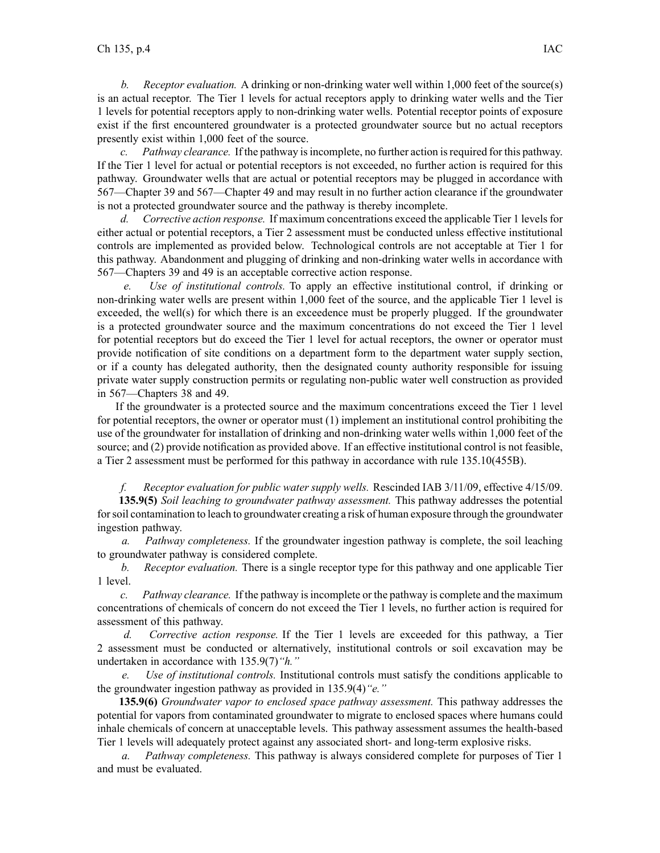*b. Receptor evaluation.* A drinking or non-drinking water well within 1,000 feet of the source(s) is an actual receptor. The Tier 1 levels for actual receptors apply to drinking water wells and the Tier 1 levels for potential receptors apply to non-drinking water wells. Potential receptor points of exposure exist if the first encountered groundwater is <sup>a</sup> protected groundwater source but no actual receptors presently exist within 1,000 feet of the source.

*c. Pathway clearance.* If the pathway isincomplete, no further action isrequired for this pathway. If the Tier 1 level for actual or potential receptors is not exceeded, no further action is required for this pathway. Groundwater wells that are actual or potential receptors may be plugged in accordance with 567—Chapter 39 and 567—Chapter 49 and may result in no further action clearance if the groundwater is not <sup>a</sup> protected groundwater source and the pathway is thereby incomplete.

*d. Corrective action response.* If maximum concentrations exceed the applicable Tier 1 levelsfor either actual or potential receptors, <sup>a</sup> Tier 2 assessment must be conducted unless effective institutional controls are implemented as provided below. Technological controls are not acceptable at Tier 1 for this pathway. Abandonment and plugging of drinking and non-drinking water wells in accordance with 567—Chapters 39 and 49 is an acceptable corrective action response.

*e. Use of institutional controls.* To apply an effective institutional control, if drinking or non-drinking water wells are presen<sup>t</sup> within 1,000 feet of the source, and the applicable Tier 1 level is exceeded, the well(s) for which there is an exceedence must be properly plugged. If the groundwater is <sup>a</sup> protected groundwater source and the maximum concentrations do not exceed the Tier 1 level for potential receptors but do exceed the Tier 1 level for actual receptors, the owner or operator must provide notification of site conditions on <sup>a</sup> department form to the department water supply section, or if <sup>a</sup> county has delegated authority, then the designated county authority responsible for issuing private water supply construction permits or regulating non-public water well construction as provided in 567—Chapters 38 and 49.

If the groundwater is <sup>a</sup> protected source and the maximum concentrations exceed the Tier 1 level for potential receptors, the owner or operator must (1) implement an institutional control prohibiting the use of the groundwater for installation of drinking and non-drinking water wells within 1,000 feet of the source; and (2) provide notification as provided above. If an effective institutional control is not feasible, <sup>a</sup> Tier 2 assessment must be performed for this pathway in accordance with rule 135.10(455B).

## *f. Receptor evaluation for public water supply wells.* Rescinded IAB 3/11/09, effective 4/15/09.

**135.9(5)** *Soil leaching to groundwater pathway assessment.* This pathway addresses the potential forsoil contamination to leach to groundwater creating <sup>a</sup> risk of human exposure through the groundwater ingestion pathway.

*a. Pathway completeness.* If the groundwater ingestion pathway is complete, the soil leaching to groundwater pathway is considered complete.

*b. Receptor evaluation.* There is <sup>a</sup> single receptor type for this pathway and one applicable Tier 1 level.

*c. Pathway clearance.* If the pathway isincomplete or the pathway is complete and the maximum concentrations of chemicals of concern do not exceed the Tier 1 levels, no further action is required for assessment of this pathway.

*d. Corrective action response.* If the Tier 1 levels are exceeded for this pathway, <sup>a</sup> Tier 2 assessment must be conducted or alternatively, institutional controls or soil excavation may be undertaken in accordance with 135.9(7)*"h."*

*e. Use of institutional controls.* Institutional controls must satisfy the conditions applicable to the groundwater ingestion pathway as provided in 135.9(4)*"e."*

**135.9(6)** *Groundwater vapor to enclosed space pathway assessment.* This pathway addresses the potential for vapors from contaminated groundwater to migrate to enclosed spaces where humans could inhale chemicals of concern at unacceptable levels. This pathway assessment assumes the health-based Tier 1 levels will adequately protect against any associated short- and long-term explosive risks.

*a. Pathway completeness.* This pathway is always considered complete for purposes of Tier 1 and must be evaluated.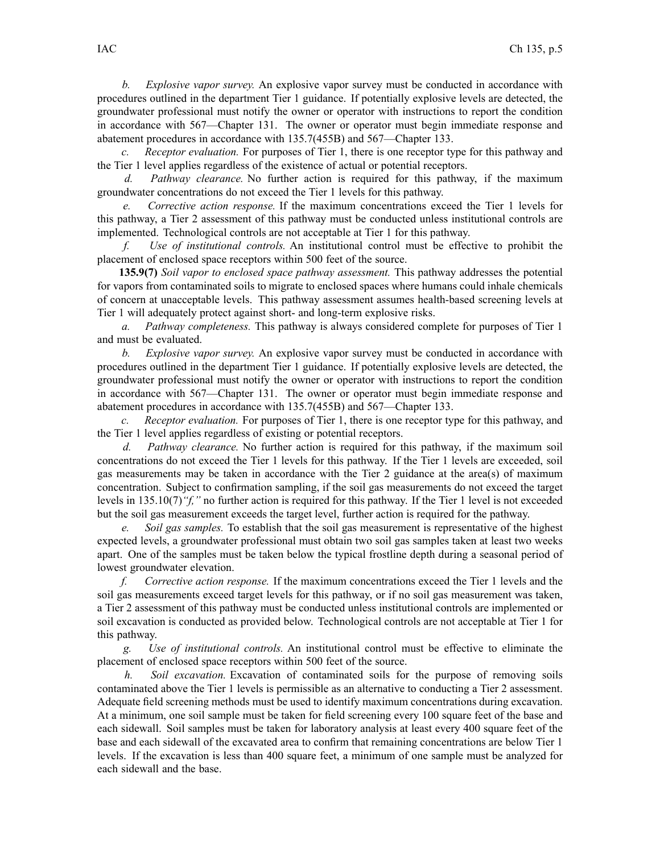*b. Explosive vapor survey.* An explosive vapor survey must be conducted in accordance with procedures outlined in the department Tier 1 guidance. If potentially explosive levels are detected, the groundwater professional must notify the owner or operator with instructions to repor<sup>t</sup> the condition in accordance with 567—Chapter 131. The owner or operator must begin immediate response and abatement procedures in accordance with 135.7(455B) and 567—Chapter 133.

*c. Receptor evaluation.* For purposes of Tier 1, there is one receptor type for this pathway and the Tier 1 level applies regardless of the existence of actual or potential receptors.

*d. Pathway clearance.* No further action is required for this pathway, if the maximum groundwater concentrations do not exceed the Tier 1 levels for this pathway.

*e. Corrective action response.* If the maximum concentrations exceed the Tier 1 levels for this pathway, <sup>a</sup> Tier 2 assessment of this pathway must be conducted unless institutional controls are implemented. Technological controls are not acceptable at Tier 1 for this pathway.

*f. Use of institutional controls.* An institutional control must be effective to prohibit the placement of enclosed space receptors within 500 feet of the source.

**135.9(7)** *Soil vapor to enclosed space pathway assessment.* This pathway addresses the potential for vapors from contaminated soils to migrate to enclosed spaces where humans could inhale chemicals of concern at unacceptable levels. This pathway assessment assumes health-based screening levels at Tier 1 will adequately protect against short- and long-term explosive risks.

*a. Pathway completeness.* This pathway is always considered complete for purposes of Tier 1 and must be evaluated.

*b. Explosive vapor survey.* An explosive vapor survey must be conducted in accordance with procedures outlined in the department Tier 1 guidance. If potentially explosive levels are detected, the groundwater professional must notify the owner or operator with instructions to repor<sup>t</sup> the condition in accordance with 567—Chapter 131. The owner or operator must begin immediate response and abatement procedures in accordance with 135.7(455B) and 567—Chapter 133.

*c. Receptor evaluation.* For purposes of Tier 1, there is one receptor type for this pathway, and the Tier 1 level applies regardless of existing or potential receptors.

*d. Pathway clearance.* No further action is required for this pathway, if the maximum soil concentrations do not exceed the Tier 1 levels for this pathway. If the Tier 1 levels are exceeded, soil gas measurements may be taken in accordance with the Tier 2 guidance at the area(s) of maximum concentration. Subject to confirmation sampling, if the soil gas measurements do not exceed the target levels in 135.10(7)*"f,"* no further action is required for this pathway. If the Tier 1 level is not exceeded but the soil gas measurement exceeds the target level, further action is required for the pathway.

*e. Soil gas samples.* To establish that the soil gas measurement is representative of the highest expected levels, <sup>a</sup> groundwater professional must obtain two soil gas samples taken at least two weeks apart. One of the samples must be taken below the typical frostline depth during <sup>a</sup> seasonal period of lowest groundwater elevation.

*f. Corrective action response.* If the maximum concentrations exceed the Tier 1 levels and the soil gas measurements exceed target levels for this pathway, or if no soil gas measurement was taken, <sup>a</sup> Tier 2 assessment of this pathway must be conducted unless institutional controls are implemented or soil excavation is conducted as provided below. Technological controls are not acceptable at Tier 1 for this pathway.

*g. Use of institutional controls.* An institutional control must be effective to eliminate the placement of enclosed space receptors within 500 feet of the source.

*h. Soil excavation.* Excavation of contaminated soils for the purpose of removing soils contaminated above the Tier 1 levels is permissible as an alternative to conducting <sup>a</sup> Tier 2 assessment. Adequate field screening methods must be used to identify maximum concentrations during excavation. At <sup>a</sup> minimum, one soil sample must be taken for field screening every 100 square feet of the base and each sidewall. Soil samples must be taken for laboratory analysis at least every 400 square feet of the base and each sidewall of the excavated area to confirm that remaining concentrations are below Tier 1 levels. If the excavation is less than 400 square feet, <sup>a</sup> minimum of one sample must be analyzed for each sidewall and the base.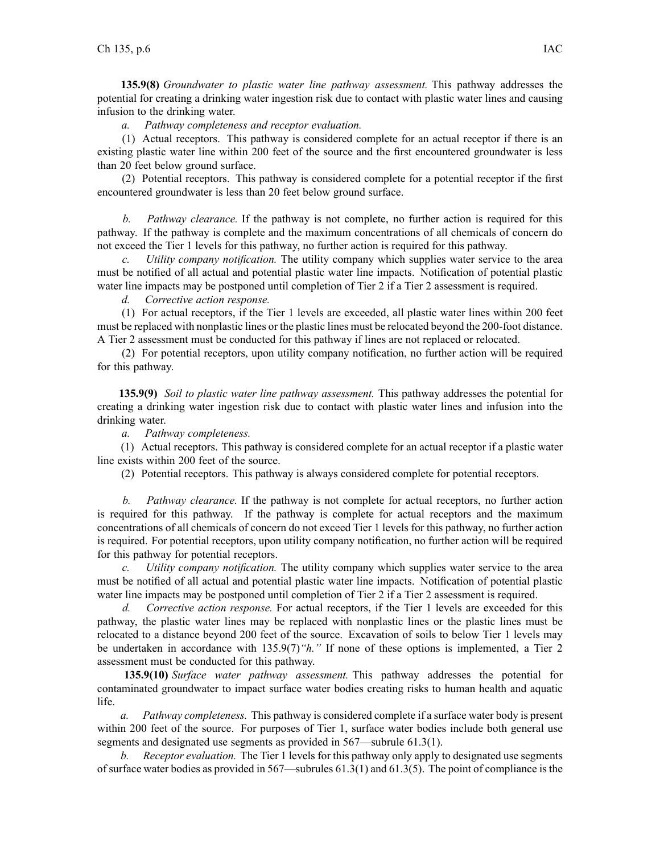**135.9(8)** *Groundwater to plastic water line pathway assessment.* This pathway addresses the potential for creating <sup>a</sup> drinking water ingestion risk due to contact with plastic water lines and causing infusion to the drinking water.

*a. Pathway completeness and receptor evaluation.*

(1) Actual receptors. This pathway is considered complete for an actual receptor if there is an existing plastic water line within 200 feet of the source and the first encountered groundwater is less than 20 feet below ground surface.

(2) Potential receptors. This pathway is considered complete for <sup>a</sup> potential receptor if the first encountered groundwater is less than 20 feet below ground surface.

*b. Pathway clearance.* If the pathway is not complete, no further action is required for this pathway. If the pathway is complete and the maximum concentrations of all chemicals of concern do not exceed the Tier 1 levels for this pathway, no further action is required for this pathway.

*c. Utility company notification.* The utility company which supplies water service to the area must be notified of all actual and potential plastic water line impacts. Notification of potential plastic water line impacts may be postponed until completion of Tier 2 if a Tier 2 assessment is required.

*d. Corrective action response.*

(1) For actual receptors, if the Tier 1 levels are exceeded, all plastic water lines within 200 feet must be replaced with nonplastic lines or the plastic lines must be relocated beyond the 200-foot distance. A Tier 2 assessment must be conducted for this pathway if lines are not replaced or relocated.

(2) For potential receptors, upon utility company notification, no further action will be required for this pathway.

**135.9(9)** *Soil to plastic water line pathway assessment.* This pathway addresses the potential for creating <sup>a</sup> drinking water ingestion risk due to contact with plastic water lines and infusion into the drinking water.

*a. Pathway completeness.*

(1) Actual receptors. This pathway is considered complete for an actual receptor if <sup>a</sup> plastic water line exists within 200 feet of the source.

(2) Potential receptors. This pathway is always considered complete for potential receptors.

*b. Pathway clearance.* If the pathway is not complete for actual receptors, no further action is required for this pathway. If the pathway is complete for actual receptors and the maximum concentrations of all chemicals of concern do not exceed Tier 1 levels for this pathway, no further action is required. For potential receptors, upon utility company notification, no further action will be required for this pathway for potential receptors.

*c. Utility company notification.* The utility company which supplies water service to the area must be notified of all actual and potential plastic water line impacts. Notification of potential plastic water line impacts may be postponed until completion of Tier 2 if a Tier 2 assessment is required.

*d. Corrective action response.* For actual receptors, if the Tier 1 levels are exceeded for this pathway, the plastic water lines may be replaced with nonplastic lines or the plastic lines must be relocated to <sup>a</sup> distance beyond 200 feet of the source. Excavation of soils to below Tier 1 levels may be undertaken in accordance with 135.9(7)*"h."* If none of these options is implemented, <sup>a</sup> Tier 2 assessment must be conducted for this pathway.

**135.9(10)** *Surface water pathway assessment.* This pathway addresses the potential for contaminated groundwater to impact surface water bodies creating risks to human health and aquatic life.

*a. Pathway completeness.* This pathway is considered complete if <sup>a</sup> surface water body is presen<sup>t</sup> within 200 feet of the source. For purposes of Tier 1, surface water bodies include both general use segments and designated use segments as provided in 567—subrule 61.3(1).

*b. Receptor evaluation.* The Tier 1 levels for this pathway only apply to designated use segments of surface water bodies as provided in 567—subrules 61.3(1) and 61.3(5). The point of compliance is the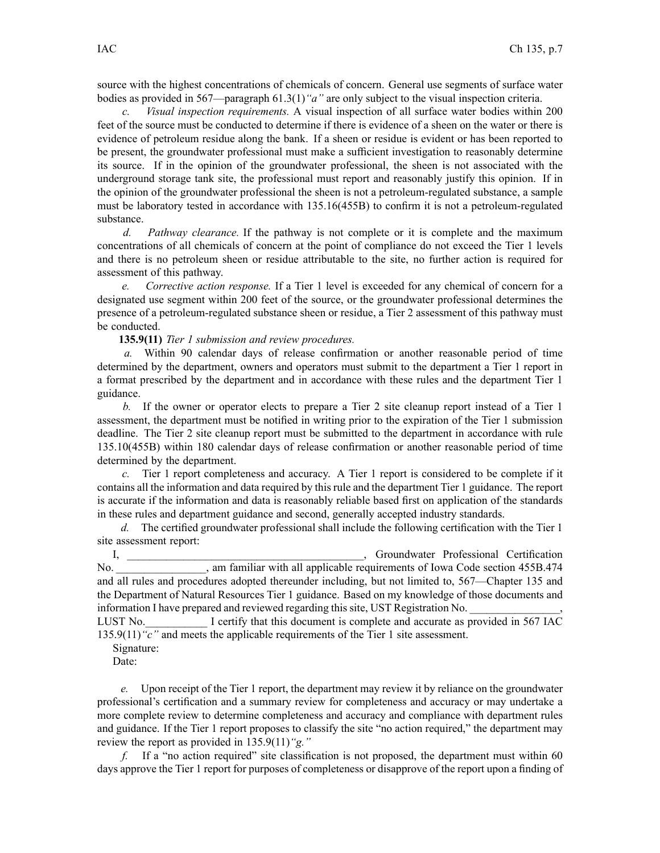source with the highest concentrations of chemicals of concern. General use segments of surface water bodies as provided in 567—paragraph 61.3(1)*"a"* are only subject to the visual inspection criteria.

*c. Visual inspection requirements.* A visual inspection of all surface water bodies within 200 feet of the source must be conducted to determine if there is evidence of <sup>a</sup> sheen on the water or there is evidence of petroleum residue along the bank. If <sup>a</sup> sheen or residue is evident or has been reported to be present, the groundwater professional must make <sup>a</sup> sufficient investigation to reasonably determine its source. If in the opinion of the groundwater professional, the sheen is not associated with the underground storage tank site, the professional must repor<sup>t</sup> and reasonably justify this opinion. If in the opinion of the groundwater professional the sheen is not <sup>a</sup> petroleum-regulated substance, <sup>a</sup> sample must be laboratory tested in accordance with 135.16(455B) to confirm it is not <sup>a</sup> petroleum-regulated substance.

*d. Pathway clearance.* If the pathway is not complete or it is complete and the maximum concentrations of all chemicals of concern at the point of compliance do not exceed the Tier 1 levels and there is no petroleum sheen or residue attributable to the site, no further action is required for assessment of this pathway.

*e. Corrective action response.* If <sup>a</sup> Tier 1 level is exceeded for any chemical of concern for <sup>a</sup> designated use segmen<sup>t</sup> within 200 feet of the source, or the groundwater professional determines the presence of <sup>a</sup> petroleum-regulated substance sheen or residue, <sup>a</sup> Tier 2 assessment of this pathway must be conducted.

**135.9(11)** *Tier 1 submission and review procedures.*

*a.* Within 90 calendar days of release confirmation or another reasonable period of time determined by the department, owners and operators must submit to the department <sup>a</sup> Tier 1 repor<sup>t</sup> in <sup>a</sup> format prescribed by the department and in accordance with these rules and the department Tier 1 guidance.

*b.* If the owner or operator elects to prepare <sup>a</sup> Tier 2 site cleanup repor<sup>t</sup> instead of <sup>a</sup> Tier 1 assessment, the department must be notified in writing prior to the expiration of the Tier 1 submission deadline. The Tier 2 site cleanup repor<sup>t</sup> must be submitted to the department in accordance with rule 135.10(455B) within 180 calendar days of release confirmation or another reasonable period of time determined by the department.

*c.* Tier 1 repor<sup>t</sup> completeness and accuracy. A Tier 1 repor<sup>t</sup> is considered to be complete if it contains all the information and data required by this rule and the department Tier 1 guidance. The repor<sup>t</sup> is accurate if the information and data is reasonably reliable based first on application of the standards in these rules and department guidance and second, generally accepted industry standards.

*d.* The certified groundwater professional shall include the following certification with the Tier 1 site assessment report:

I, \_\_\_\_\_\_\_\_\_\_\_\_\_\_\_\_\_\_\_\_\_\_\_\_\_\_\_\_\_\_\_\_\_\_\_\_\_\_\_\_\_\_, Groundwater Professional Certification No. \_\_\_\_\_\_\_\_\_\_\_\_\_\_\_\_, am familiar with all applicable requirements of Iowa Code section 455B.474 and all rules and procedures adopted thereunder including, but not limited to, 567—Chapter 135 and the Department of Natural Resources Tier 1 guidance. Based on my knowledge of those documents and information I have prepared and reviewed regarding this site, UST Registration No.

LUST No. I certify that this document is complete and accurate as provided in 567 IAC 135.9(11)*"c"* and meets the applicable requirements of the Tier 1 site assessment.

Signature:

Date:

*e.* Upon receipt of the Tier 1 report, the department may review it by reliance on the groundwater professional's certification and <sup>a</sup> summary review for completeness and accuracy or may undertake <sup>a</sup> more complete review to determine completeness and accuracy and compliance with department rules and guidance. If the Tier 1 repor<sup>t</sup> proposes to classify the site "no action required," the department may review the repor<sup>t</sup> as provided in 135.9(11)*"g."*

*f.* If <sup>a</sup> "no action required" site classification is not proposed, the department must within 60 days approve the Tier 1 repor<sup>t</sup> for purposes of completeness or disapprove of the repor<sup>t</sup> upon <sup>a</sup> finding of